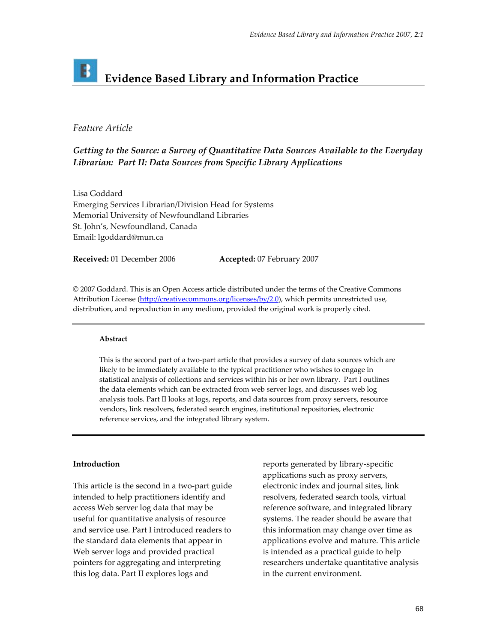# B **Evidence Based Library and Information Practice**

### *Feature Article*

# *Getting to the Source: a Survey of Quantitative Data Sources Available to the Everyday Librarian: Part II: Data Sources from Specific Library Applications*

Lisa Goddard Emerging Services Librarian/Division Head for Systems Memorial University of Newfoundland Libraries St. John's, Newfoundland, Canada Email: lgoddard@mun.ca

**Received:** 01 December 2006 **Accepted:** 07 February 2007

© 2007 Goddard. This is an Open Access article distributed under the terms of the Creative Commons Attribution License [\(http://creativecommons.org/licenses/by/2.0](http://creativecommons.org/licenses/by/2.0)), which permits unrestricted use, distribution, and reproduction in any medium, provided the original work is properly cited.

#### **Abstract**

This is the second part of a two-part article that provides a survey of data sources which are likely to be immediately available to the typical practitioner who wishes to engage in statistical analysis of collections and services within his or her own library. Part I outlines the data elements which can be extracted from web server logs, and discusses web log analysis tools. Part II looks at logs, reports, and data sources from proxy servers, resource vendors, link resolvers, federated search engines, institutional repositories, electronic reference services, and the integrated library system.

#### **Introduction**

This article is the second in a two‐part guide intended to help practitioners identify and access Web server log data that may be useful for quantitative analysis of resource and service use. Part I introduced readers to the standard data elements that appear in Web server logs and provided practical pointers for aggregating and interpreting this log data. Part II explores logs and

reports generated by library‐specific applications such as proxy servers, electronic index and journal sites, link resolvers, federated search tools, virtual reference software, and integrated library systems. The reader should be aware that this information may change over time as applications evolve and mature. This article is intended as a practical guide to help researchers undertake quantitative analysis in the current environment.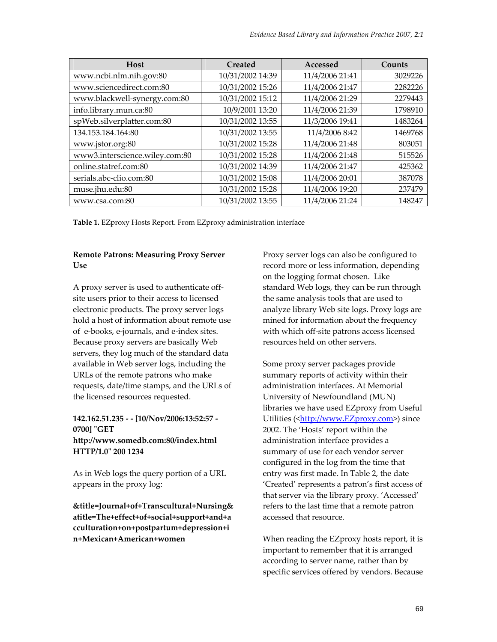| <b>Host</b>                    | Created          | Accessed        | Counts  |
|--------------------------------|------------------|-----------------|---------|
| www.ncbi.nlm.nih.gov:80        | 10/31/2002 14:39 | 11/4/2006 21:41 | 3029226 |
| www.sciencedirect.com:80       | 10/31/2002 15:26 | 11/4/2006 21:47 | 2282226 |
| www.blackwell-synergy.com:80   | 10/31/2002 15:12 | 11/4/2006 21:29 | 2279443 |
| info.library.mun.ca:80         | 10/9/2001 13:20  | 11/4/2006 21:39 | 1798910 |
| spWeb.silverplatter.com:80     | 10/31/2002 13:55 | 11/3/2006 19:41 | 1483264 |
| 134.153.184.164:80             | 10/31/2002 13:55 | 11/4/2006 8:42  | 1469768 |
| www.jstor.org:80               | 10/31/2002 15:28 | 11/4/2006 21:48 | 803051  |
| www3.interscience.wiley.com:80 | 10/31/2002 15:28 | 11/4/2006 21:48 | 515526  |
| online.statref.com:80          | 10/31/2002 14:39 | 11/4/2006 21:47 | 425362  |
| serials.abc-clio.com:80        | 10/31/2002 15:08 | 11/4/2006 20:01 | 387078  |
| muse.jhu.edu:80                | 10/31/2002 15:28 | 11/4/2006 19:20 | 237479  |
| www.csa.com:80                 | 10/31/2002 13:55 | 11/4/2006 21:24 | 148247  |

**Table 1.** EZproxy Hosts Report. From EZproxy administration interface

### **Remote Patrons: Measuring Proxy Server Use**

A proxy server is used to authenticate off‐ site users prior to their access to licensed electronic products. The proxy server logs hold a host of information about remote use of e‐books, e‐journals, and e‐index sites. Because proxy servers are basically Web servers, they log much of the standard data available in Web server logs, including the URLs of the remote patrons who make requests, date/time stamps, and the URLs of the licensed resources requested.

### **142.162.51.235 ‐ ‐ [10/Nov/2006:13:52:57 ‐ 0700] ʺGET <http://www.somedb.com:80/index.html> HTTP/1.0ʺ 200 1234**

As in Web logs the query portion of a URL appears in the proxy log:

**&title=Journal+of+Transcultural+Nursing& atitle=The+effect+of+social+support+and+a cculturation+on+postpartum+depression+i n+Mexican+American+women**

Proxy server logs can also be configured to record more or less information, depending on the logging format chosen. Like standard Web logs, they can be run through the same analysis tools that are used to analyze library Web site logs. Proxy logs are mined for information about the frequency with which off‐site patrons access licensed resources held on other servers.

Some proxy server packages provide summary reports of activity within their administration interfaces. At Memorial University of Newfoundland (MUN) libraries we have used EZproxy from Useful Utilities (<<http://www.EZproxy.com>>) since 2002. The 'Hosts' report within the administration interface provides a summary of use for each vendor server configured in the log from the time that entry was first made. In Table 2, the date 'Created' represents a patron's first access of that server via the library proxy. 'Accessed' refers to the last time that a remote patron accessed that resource.

When reading the EZproxy hosts report, it is important to remember that it is arranged according to server name, rather than by specific services offered by vendors. Because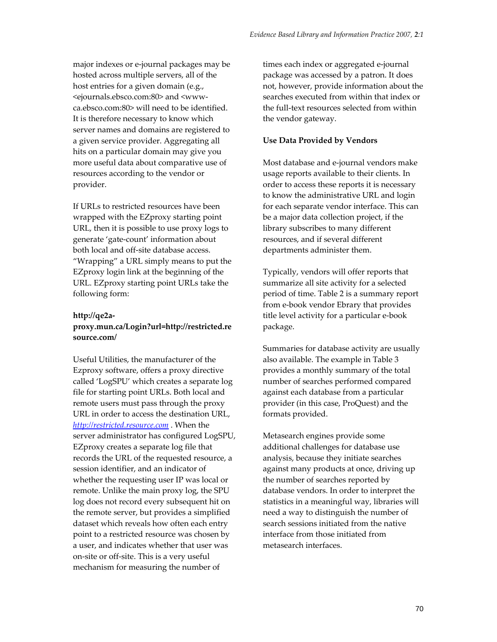major indexes or e‐journal packages may be hosted across multiple servers, all of the host entries for a given domain (e.g., <ejournals.ebsco.com:80> and <www‐ ca.ebsco.com:80> will need to be identified. It is therefore necessary to know which server names and domains are registered to a given service provider. Aggregating all hits on a particular domain may give you more useful data about comparative use of resources according to the vendor or provider.

If URLs to restricted resources have been wrapped with the EZproxy starting point URL, then it is possible to use proxy logs to generate 'gate‐count' information about both local and off‐site database access. "Wrapping" a URL simply means to put the EZproxy login link at the beginning of the URL. EZproxy starting point URLs take the following form:

# **http://qe2a‐ [proxy.mun.](http://qe2a%E2%80%90proxy%00)ca/Login?url[=http://restricted.re](http://restricted.re) source.com/**

Useful Utilities, the manufacturer of the Ezproxy software, offers a proxy directive called 'LogSPU' which creates a separate log file for starting point URLs. Both local and remote users must pass through the proxy URL in order to access the destination URL, *<http://restricted.resource.com>* . When the server administrator has configured LogSPU, EZproxy creates a separate log file that records the URL of the requested resource, a session identifier, and an indicator of whether the requesting user IP was local or remote. Unlike the main proxy log, the SPU log does not record every subsequent hit on the remote server, but provides a simplified dataset which reveals how often each entry point to a restricted resource was chosen by a user, and indicates whether that user was on‐site or off‐site. This is a very useful mechanism for measuring the number of

times each index or aggregated e‐journal package was accessed by a patron. It does not, however, provide information about the searches executed from within that index or the full‐text resources selected from within the vendor gateway.

### **Use Data Provided by Vendors**

Most database and e‐journal vendors make usage reports available to their clients. In order to access these reports it is necessary to know the administrative URL and login for each separate vendor interface. This can be a major data collection project, if the library subscribes to many different resources, and if several different departments administer them.

Typically, vendors will offer reports that summarize all site activity for a selected period of time. Table 2 is a summary report from e‐book vendor Ebrary that provides title level activity for a particular e‐book package.

Summaries for database activity are usually also available. The example in Table 3 provides a monthly summary of the total number of searches performed compared against each database from a particular provider (in this case, ProQuest) and the formats provided.

Metasearch engines provide some additional challenges for database use analysis, because they initiate searches against many products at once, driving up the number of searches reported by database vendors. In order to interpret the statistics in a meaningful way, libraries will need a way to distinguish the number of search sessions initiated from the native interface from those initiated from metasearch interfaces.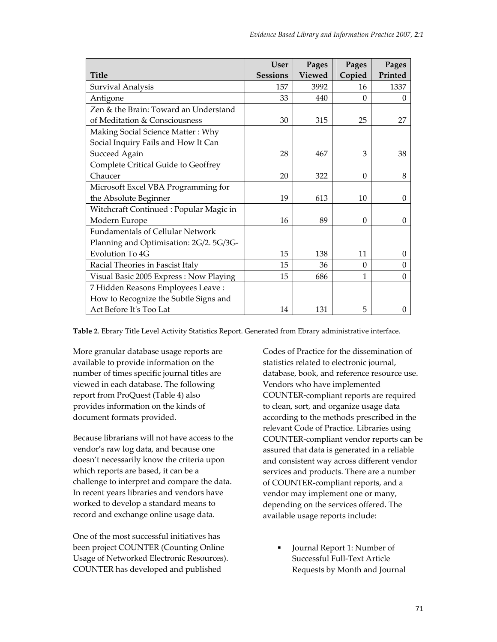|                                         | <b>User</b>     | Pages  | Pages    | Pages    |
|-----------------------------------------|-----------------|--------|----------|----------|
| <b>Title</b>                            | <b>Sessions</b> | Viewed | Copied   | Printed  |
| Survival Analysis                       | 157             | 3992   | 16       | 1337     |
| Antigone                                | 33              | 440    | $\Omega$ | $\Omega$ |
| Zen & the Brain: Toward an Understand   |                 |        |          |          |
| of Meditation & Consciousness           | 30              | 315    | 25       | 27       |
| Making Social Science Matter: Why       |                 |        |          |          |
| Social Inquiry Fails and How It Can     |                 |        |          |          |
| Succeed Again                           | 28              | 467    | 3        | 38       |
| Complete Critical Guide to Geoffrey     |                 |        |          |          |
| Chaucer                                 | 20              | 322    | $\Omega$ | 8        |
| Microsoft Excel VBA Programming for     |                 |        |          |          |
| the Absolute Beginner                   | 19              | 613    | 10       | $\Omega$ |
| Witchcraft Continued: Popular Magic in  |                 |        |          |          |
| Modern Europe                           | 16              | 89     | $\theta$ | $\Omega$ |
| <b>Fundamentals of Cellular Network</b> |                 |        |          |          |
| Planning and Optimisation: 2G/2. 5G/3G- |                 |        |          |          |
| Evolution To 4G                         | 15              | 138    | 11       | $\Omega$ |
| Racial Theories in Fascist Italy        | 15              | 36     | $\Omega$ | $\Omega$ |
| Visual Basic 2005 Express: Now Playing  | 15              | 686    | 1        | $\Omega$ |
| 7 Hidden Reasons Employees Leave:       |                 |        |          |          |
| How to Recognize the Subtle Signs and   |                 |        |          |          |
| Act Before It's Too Lat                 | 14              | 131    | 5        | 0        |

**Table 2**. Ebrary Title Level Activity Statistics Report. Generated from Ebrary administrative interface.

More granular database usage reports are available to provide information on the number of times specific journal titles are viewed in each database. The following report from ProQuest (Table 4) also provides information on the kinds of document formats provided.

Because librarians will not have access to the vendor's raw log data, and because one doesn't necessarily know the criteria upon which reports are based, it can be a challenge to interpret and compare the data. In recent years libraries and vendors have worked to develop a standard means to record and exchange online usage data.

One of the most successful initiatives has been project COUNTER (Counting Online Usage of Networked Electronic Resources). COUNTER has developed and published

Codes of Practice for the dissemination of statistics related to electronic journal, database, book, and reference resource use. Vendors who have implemented COUNTER‐compliant reports are required to clean, sort, and organize usage data according to the methods prescribed in the relevant Code of Practice. Libraries using COUNTER‐compliant vendor reports can be assured that data is generated in a reliable and consistent way across different vendor services and products. There are a number of COUNTER‐compliant reports, and a vendor may implement one or many, depending on the services offered. The available usage reports include:

> Journal Report 1: Number of Successful Full‐Text Article Requests by Month and Journal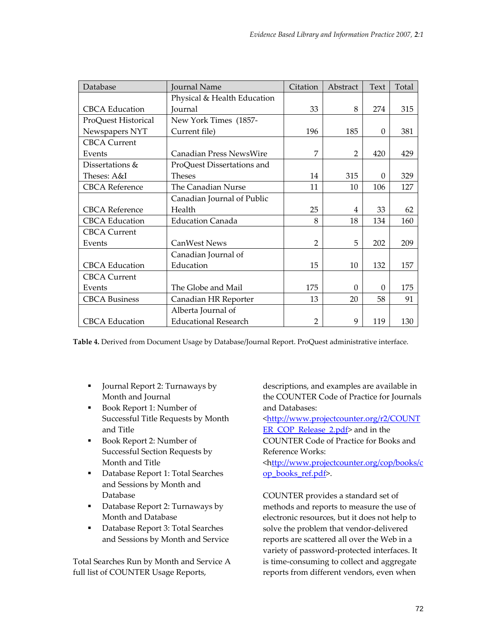| Database              | Iournal Name                   | Citation       | Abstract       | Text     | Total |
|-----------------------|--------------------------------|----------------|----------------|----------|-------|
|                       | Physical & Health Education    |                |                |          |       |
| <b>CBCA</b> Education | Iournal                        | 33             | 8              | 274      | 315   |
| ProQuest Historical   | New York Times (1857-          |                |                |          |       |
| Newspapers NYT        | Current file)                  | 196            | 185            | $\Omega$ | 381   |
| <b>CBCA Current</b>   |                                |                |                |          |       |
| Events                | <b>Canadian Press NewsWire</b> | 7              | $\mathfrak{D}$ | 420      | 429   |
| Dissertations &       | ProQuest Dissertations and     |                |                |          |       |
| Theses: A&I           | Theses                         | 14             | 315            | $\Omega$ | 329   |
| <b>CBCA</b> Reference | The Canadian Nurse             | 11             | 10             | 106      | 127   |
|                       | Canadian Journal of Public     |                |                |          |       |
| <b>CBCA</b> Reference | Health                         | 25             | 4              | 33       | 62    |
| <b>CBCA</b> Education | <b>Education Canada</b>        | 8              | 18             | 134      | 160   |
| <b>CBCA Current</b>   |                                |                |                |          |       |
| Events                | <b>CanWest News</b>            | $\overline{2}$ | 5              | 202      | 209   |
|                       | Canadian Journal of            |                |                |          |       |
| <b>CBCA Education</b> | Education                      | 15             | 10             | 132      | 157   |
| <b>CBCA Current</b>   |                                |                |                |          |       |
| Events                | The Globe and Mail             | 175            | $\Omega$       | $\Omega$ | 175   |
| <b>CBCA Business</b>  | Canadian HR Reporter           | 13             | 20             | 58       | 91    |
|                       | Alberta Journal of             |                |                |          |       |
| <b>CBCA</b> Education | <b>Educational Research</b>    | $\overline{2}$ | 9              | 119      | 130   |

**Table 4.** Derived from Document Usage by Database/Journal Report. ProQuest administrative interface.

- Journal Report 2: Turnaways by Month and Journal
- Book Report 1: Number of Successful Title Requests by Month and Title
- Book Report 2: Number of Successful Section Requests by Month and Title
- Database Report 1: Total Searches and Sessions by Month and Database
- Database Report 2: Turnaways by Month and Database
- Database Report 3: Total Searches and Sessions by Month and Service

Total Searches Run by Month and Service A full list of COUNTER Usage Reports,

descriptions, and examples are available in the COUNTER Code of Practice for Journals and Databases:

[<http://www.projectcounter.org/r2/COUNT](http://www.projectcounter.org/r2/COUNT) ER\_COP\_Release\_2.pdf> and in the COUNTER Code of Practice for Books and Reference Works:

[<http://www.projectcounter.org/cop/books/c](http://www.projectcounter.org/cop/books/c) op\_books\_ref.pdf>.

COUNTER provides a standard set of methods and reports to measure the use of electronic resources, but it does not help to solve the problem that vendor‐delivered reports are scattered all over the Web in a variety of password‐protected interfaces. It is time‐consuming to collect and aggregate reports from different vendors, even when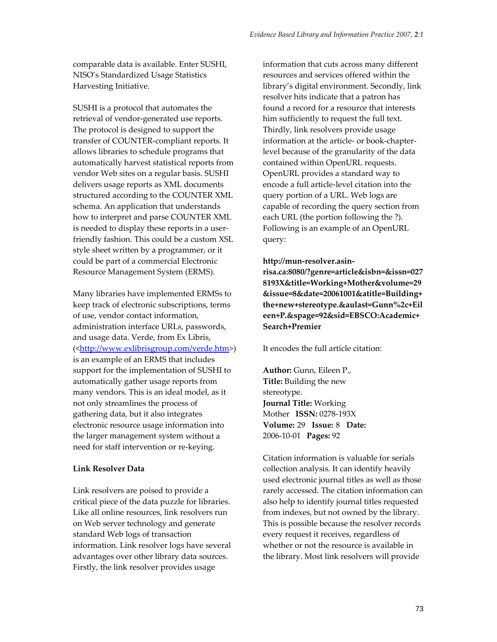comparable data is available. Enter SUSHI, NISO's Standardized Usage Statistics Harvesting Initiative.

SUSHI is a protocol that automates the retrieval of vendor‐generated use reports. The protocol is designed to support the transfer of COUNTER‐compliant reports. It allows libraries to schedule programs that automatically harvest statistical reports from vendor Web sites on a regular basis. SUSHI delivers usage reports as XML documents structured according to the COUNTER XML schema. An application that understands how to interpret and parse COUNTER XML is needed to display these reports in a user‐ friendly fashion. This could be a custom XSL style sheet written by a programmer, or it could be part of a commercial Electronic Resource Management System (ERMS).

Many libraries have implemented ERMSs to keep track of electronic subscriptions, terms of use, vendor contact information, administration interface URLs, passwords, and usage data. Verde, from Ex Libris, ([<http://www.exlibrisgroup.com/verde.htm](http://www.exlibrisgroup.com/verde.htm)>) is an example of an ERMS that includes support for the implementation of SUSHI to automatically gather usage reports from many vendors. This is an ideal model, as it not only streamlines the process of gathering data, but it also integrates electronic resource usage information into the larger management system without a need for staff intervention or re‐keying.

#### **Link Resolver Data**

Link resolvers are poised to provide a critical piece of the data puzzle for libraries. Like all online resources, link resolvers run on Web server technology and generate standard Web logs of transaction information. Link resolver logs have several advantages over other library data sources. Firstly, the link resolver provides usage

information that cuts across many different resources and services offered within the library's digital environment. Secondly, link resolver hits indicate that a patron has found a record for a resource that interests him sufficiently to request the full text. Thirdly, link resolvers provide usage information at the article‐ or book‐chapter‐ level because of the granularity of the data contained within OpenURL requests. OpenURL provides a standard way to encode a full article‐level citation into the query portion of a URL. Web logs are capable of recording the query section from each URL (the portion following the ?). Following is an example of an OpenURL query:

#### **http://mun‐resolver.asin‐**

**[risa.ca:8080/?genre=article](http://mun%E2%80%90resolver.asin%E2%80%90risa%00)&isbn=&issn=027 8193X&title=Working+Mother&volume=29 &issue=8&date=20061001&atitle=Building+ the+new+stereotype.&aulast=Gunn%2c+Eil een+P.&spage=92&sid=EBSCO:Academic+ Search+Premier** 

It encodes the full article citation:

**Author:** Gunn, Eileen P., **Title:** Building the new stereotype. **Journal Title:** Working Mother **ISSN:** 0278‐193X **Volume:** 29 **Issue:** 8 **Date:** 2006‐10‐01 **Pages:** 92

Citation information is valuable for serials collection analysis. It can identify heavily used electronic journal titles as well as those rarely accessed. The citation information can also help to identify journal titles requested from indexes, but not owned by the library. This is possible because the resolver records every request it receives, regardless of whether or not the resource is available in the library. Most link resolvers will provide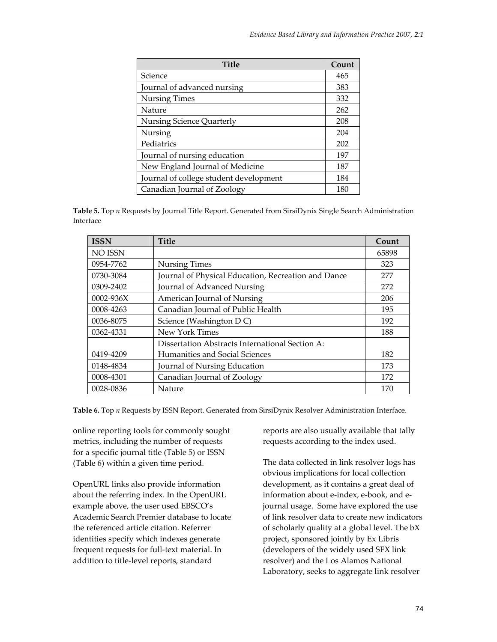| <b>Title</b>                           | Count |
|----------------------------------------|-------|
| Science                                | 465   |
| Journal of advanced nursing            | 383   |
| <b>Nursing Times</b>                   | 332   |
| Nature                                 | 262   |
| <b>Nursing Science Quarterly</b>       | 208   |
| Nursing                                | 204   |
| Pediatrics                             | 202   |
| Journal of nursing education           | 197   |
| New England Journal of Medicine        | 187   |
| Journal of college student development | 184   |
| Canadian Journal of Zoology            | 180   |

**Table 5.** Top *n* Requests by Journal Title Report. Generated from SirsiDynix Single Search Administration Interface

| <b>ISSN</b>   | <b>Title</b>                                        | Count |
|---------------|-----------------------------------------------------|-------|
| NO ISSN       |                                                     | 65898 |
| 0954-7762     | <b>Nursing Times</b>                                | 323   |
| 0730-3084     | Journal of Physical Education, Recreation and Dance | 277   |
| 0309-2402     | Journal of Advanced Nursing                         | 272   |
| $0002 - 936X$ | American Journal of Nursing                         | 206   |
| 0008-4263     | Canadian Journal of Public Health                   | 195   |
| 0036-8075     | Science (Washington DC)                             | 192   |
| 0362-4331     | New York Times                                      | 188   |
|               | Dissertation Abstracts International Section A:     |       |
| 0419-4209     | Humanities and Social Sciences                      | 182   |
| 0148-4834     | Journal of Nursing Education                        | 173   |
| 0008-4301     | Canadian Journal of Zoology                         | 172   |
| 0028-0836     | Nature                                              | 170   |

**Table 6.** Top *n* Requests by ISSN Report. Generated from SirsiDynix Resolver Administration Interface.

online reporting tools for commonly sought metrics, including the number of requests for a specific journal title (Table 5) or ISSN (Table 6) within a given time period.

OpenURL links also provide information about the referring index. In the OpenURL example above, the user used EBSCO's Academic Search Premier database to locate the referenced article citation. Referrer identities specify which indexes generate frequent requests for full‐text material. In addition to title‐level reports, standard

reports are also usually available that tally requests according to the index used.

The data collected in link resolver logs has obvious implications for local collection development, as it contains a great deal of information about e‐index, e‐book, and e‐ journal usage. Some have explored the use of link resolver data to create new indicators of scholarly quality at a global level. The bX project, sponsored jointly by Ex Libris (developers of the widely used SFX link resolver) and the Los Alamos National Laboratory, seeks to aggregate link resolver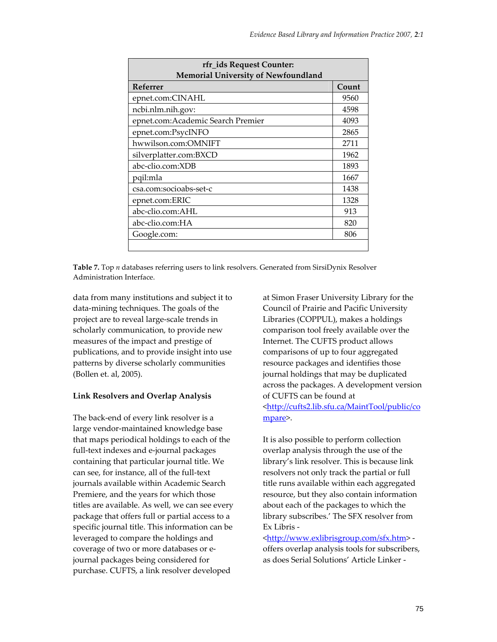| rfr_ids Request Counter:            |       |  |
|-------------------------------------|-------|--|
| Memorial University of Newfoundland |       |  |
| Referrer                            | Count |  |
| epnet.com:CINAHL                    | 9560  |  |
| ncbi.nlm.nih.gov:                   | 4598  |  |
| epnet.com:Academic Search Premier   | 4093  |  |
| epnet.com:PsycINFO                  | 2865  |  |
| hwwilson.com:OMNIFT                 | 2711  |  |
| silverplatter.com:BXCD              | 1962  |  |
| abc-clio.com:XDB                    | 1893  |  |
| pqil:mla                            | 1667  |  |
| csa.com:socioabs-set-c              | 1438  |  |
| epnet.com:ERIC                      | 1328  |  |
| abc-clio.com:AHL                    | 913   |  |
| abc-clio.com:HA                     | 820   |  |
| Google.com:                         | 806   |  |
|                                     |       |  |

**Table 7.** Top *n* databases referring users to link resolvers. Generated from SirsiDynix Resolver Administration Interface.

data from many institutions and subject it to data‐mining techniques. The goals of the project are to reveal large‐scale trends in scholarly communication, to provide new measures of the impact and prestige of publications, and to provide insight into use patterns by diverse scholarly communities (Bollen et. al, 2005).

#### **Link Resolvers and Overlap Analysis**

The back‐end of every link resolver is a large vendor‐maintained knowledge base that maps periodical holdings to each of the full‐text indexes and e‐journal packages containing that particular journal title. We can see, for instance, all of the full‐text journals available within Academic Search Premiere, and the years for which those titles are available. As well, we can see every package that offers full or partial access to a specific journal title. This information can be leveraged to compare the holdings and coverage of two or more databases or e‐ journal packages being considered for purchase. CUFTS, a link resolver developed

at Simon Fraser University Library for the Council of Prairie and Pacific University Libraries (COPPUL), makes a holdings comparison tool freely available over the Internet. The CUFTS product allows comparisons of up to four aggregated resource packages and identifies those journal holdings that may be duplicated across the packages. A development version of CUFTS can be found at [<http://cufts2.lib.sfu.ca/MaintTool/public/co](http://cufts2.lib.sfu.ca/MaintTool/public/co) mpare>.

It is also possible to perform collection overlap analysis through the use of the library's link resolver. This is because link resolvers not only track the partial or full title runs available within each aggregated resource, but they also contain information about each of the packages to which the library subscribes.' The SFX resolver from Ex Libris ‐

[<http://www.exlibrisgroup.com/sfx.htm>](http://www.exlibrisgroup.com/sfx.htm) ‐ offers overlap analysis tools for subscribers, as does Serial Solutions' Article Linker ‐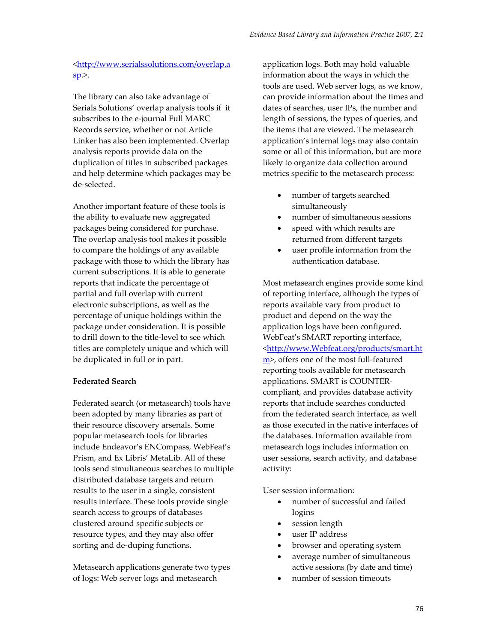### [<http://www.serialssolutions.com/overlap.a](http://www.serialssolutions.com/overlap.a)  $\mathsf{sp}$ .

The library can also take advantage of Serials Solutions' overlap analysis tools if it subscribes to the e‐journal Full MARC Records service, whether or not Article Linker has also been implemented. Overlap analysis reports provide data on the duplication of titles in subscribed packages and help determine which packages may be de‐selected.

Another important feature of these tools is the ability to evaluate new aggregated packages being considered for purchase. The overlap analysis tool makes it possible to compare the holdings of any available package with those to which the library has current subscriptions. It is able to generate reports that indicate the percentage of partial and full overlap with current electronic subscriptions, as well as the percentage of unique holdings within the package under consideration. It is possible to drill down to the title‐level to see which titles are completely unique and which will be duplicated in full or in part.

### **Federated Search**

Federated search (or metasearch) tools have been adopted by many libraries as part of their resource discovery arsenals. Some popular metasearch tools for libraries include Endeavor's ENCompass, WebFeat's Prism, and Ex Libris' MetaLib. All of these tools send simultaneous searches to multiple distributed database targets and return results to the user in a single, consistent results interface. These tools provide single search access to groups of databases clustered around specific subjects or resource types, and they may also offer sorting and de‐duping functions.

Metasearch applications generate two types of logs: Web server logs and metasearch

application logs. Both may hold valuable information about the ways in which the tools are used. Web server logs, as we know, can provide information about the times and dates of searches, user IPs, the number and length of sessions, the types of queries, and the items that are viewed. The metasearch application's internal logs may also contain some or all of this information, but are more likely to organize data collection around metrics specific to the metasearch process:

- number of targets searched simultaneously
- number of simultaneous sessions
- speed with which results are returned from different targets
- user profile information from the authentication database.

Most metasearch engines provide some kind of reporting interface, although the types of reports available vary from product to product and depend on the way the application logs have been configured. WebFeat's SMART reporting interface, [<http://www.Webfeat.org/products/smart.ht](http://www.Webfeat.org/products/smart.ht) m>, offers one of the most full-featured reporting tools available for metasearch applications. SMART is COUNTER‐ compliant, and provides database activity reports that include searches conducted from the federated search interface, as well as those executed in the native interfaces of the databases. Information available from metasearch logs includes information on user sessions, search activity, and database activity:

User session information:

- number of successful and failed logins
- session length
- user IP address
- browser and operating system
- average number of simultaneous active sessions (by date and time)
- number of session timeouts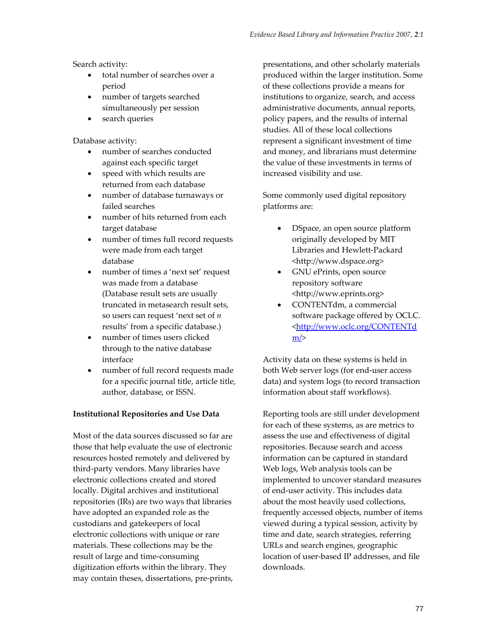Search activity:

- total number of searches over a period
- number of targets searched simultaneously per session
- search queries

Database activity:

- number of searches conducted against each specific target
- speed with which results are returned from each database
- number of database turnaways or failed searches
- number of hits returned from each target database
- number of times full record requests were made from each target database
- number of times a 'next set' request was made from a database (Database result sets are usually truncated in metasearch result sets, so users can request 'next set of *n* results' from a specific database.)
- number of times users clicked through to the native database interface
- number of full record requests made for a specific journal title, article title, author, database, or ISSN.

# **Institutional Repositories and Use Data**

Most of the data sources discussed so far are those that help evaluate the use of electronic resources hosted remotely and delivered by third‐party vendors. Many libraries have electronic collections created and stored locally. Digital archives and institutional repositories (IRs) are two ways that libraries have adopted an expanded role as the custodians and gatekeepers of local electronic collections with unique or rare materials. These collections may be the result of large and time‐consuming digitization efforts within the library. They may contain theses, dissertations, pre‐prints,

presentations, and other scholarly materials produced within the larger institution. Some of these collections provide a means for institutions to organize, search, and access administrative documents, annual reports, policy papers, and the results of internal studies. All of these local collections represent a significant investment of time and money, and librarians must determine the value of these investments in terms of increased visibility and use.

Some commonly used digital repository platforms are:

- DSpace, an open source platform originally developed by MIT Libraries and Hewlett‐Packard [<http://www.dspace.org>](http://www.dspace.org)
- GNU ePrints, open source repository software [<http://www.eprints.org>](http://www.eprints.org)
- CONTENTdm, a commercial software package offered by OCLC. [<http://www.oclc.org/CONTENTd](http://www.oclc.org/CONTENTd)  $m$ />

Activity data on these systems is held in both Web server logs (for end‐user access data) and system logs (to record transaction information about staff workflows).

Reporting tools are still under development for each of these systems, as are metrics to assess the use and effectiveness of digital repositories. Because search and access information can be captured in standard Web logs, Web analysis tools can be implemented to uncover standard measures of end‐user activity. This includes data about the most heavily used collections, frequently accessed objects, number of items viewed during a typical session, activity by time and date, search strategies, referring URLs and search engines, geographic location of user‐based IP addresses, and file downloads.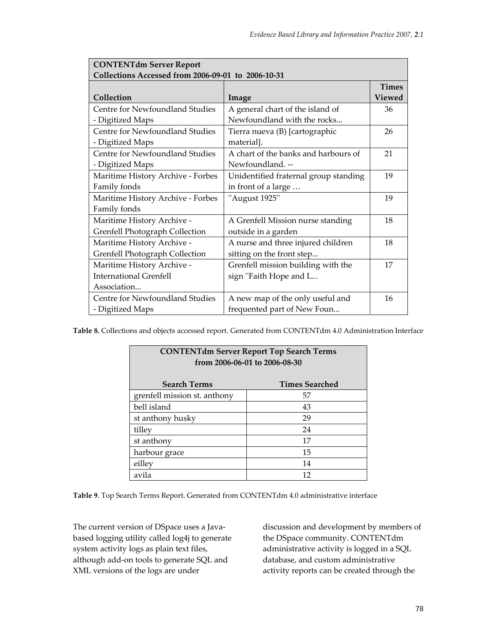| <b>CONTENTdm Server Report</b>                     |                                       |              |  |
|----------------------------------------------------|---------------------------------------|--------------|--|
| Collections Accessed from 2006-09-01 to 2006-10-31 |                                       |              |  |
|                                                    |                                       | <b>Times</b> |  |
| Collection                                         | Image                                 | Viewed       |  |
| Centre for Newfoundland Studies                    | A general chart of the island of      | 36           |  |
| - Digitized Maps                                   | Newfoundland with the rocks           |              |  |
| Centre for Newfoundland Studies                    | Tierra nueva (B) [cartographic        | 26           |  |
| - Digitized Maps                                   | material].                            |              |  |
| Centre for Newfoundland Studies                    | A chart of the banks and harbours of  | 21           |  |
| - Digitized Maps                                   | Newfoundland. --                      |              |  |
| Maritime History Archive - Forbes                  | Unidentified fraternal group standing | 19           |  |
| Family fonds                                       | in front of a large                   |              |  |
| Maritime History Archive - Forbes                  | "August 1925"                         | 19           |  |
| Family fonds                                       |                                       |              |  |
| Maritime History Archive -                         | A Grenfell Mission nurse standing     | 18           |  |
| Grenfell Photograph Collection                     | outside in a garden                   |              |  |
| Maritime History Archive -                         | A nurse and three injured children    | 18           |  |
| Grenfell Photograph Collection                     | sitting on the front step             |              |  |
| Maritime History Archive -                         | Grenfell mission building with the    | 17           |  |
| <b>International Grenfell</b>                      | sign "Faith Hope and L                |              |  |
| Association                                        |                                       |              |  |
| Centre for Newfoundland Studies                    | A new map of the only useful and      | 16           |  |
| - Digitized Maps                                   | frequented part of New Foun           |              |  |

**Table 8.** Collections and objects accessed report. Generated from CONTENTdm 4.0 Administration Interface

| <b>CONTENTdm Server Report Top Search Terms</b><br>from 2006-06-01 to 2006-08-30 |                       |  |
|----------------------------------------------------------------------------------|-----------------------|--|
| <b>Search Terms</b>                                                              | <b>Times Searched</b> |  |
| grenfell mission st. anthony                                                     | 57                    |  |
| bell island                                                                      | 43                    |  |
| st anthony husky                                                                 | 29                    |  |
| tilley                                                                           | 24                    |  |
| st anthony                                                                       | 17                    |  |
| harbour grace                                                                    | 15                    |  |
| eilley                                                                           | 14                    |  |
| avila                                                                            | 12                    |  |

**Table 9**. Top Search Terms Report. Generated from CONTENTdm 4.0 administrative interface

The current version of DSpace uses a Javabased logging utility called log4j to generate system activity logs as plain text files, although add‐on tools to generate SQL and XML versions of the logs are under

discussion and development by members of the DSpace community. CONTENTdm administrative activity is logged in a SQL database, and custom administrative activity reports can be created through the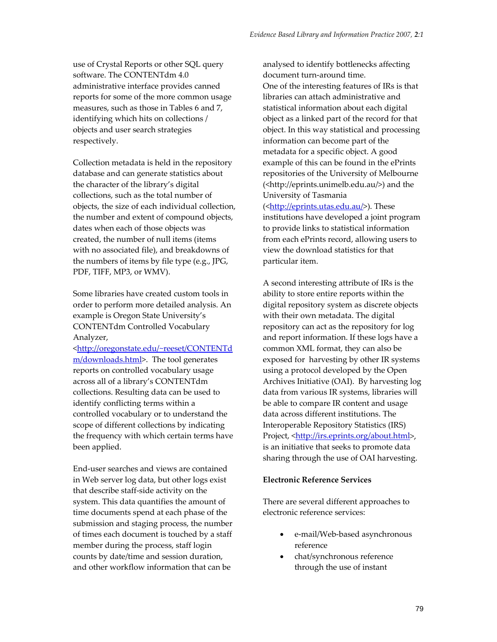use of Crystal Reports or other SQL query software. The CONTENTdm 4.0 administrative interface provides canned reports for some of the more common usage measures, such as those in Tables 6 and 7, identifying which hits on collections / objects and user search strategies respectively.

Collection metadata is held in the repository database and can generate statistics about the character of the library's digital collections, such as the total number of objects, the size of each individual collection, the number and extent of compound objects, dates when each of those objects was created, the number of null items (items with no associated file), and breakdowns of the numbers of items by file type (e.g., JPG, PDF, TIFF, MP3, or WMV).

Some libraries have created custom tools in order to perform more detailed analysis. An example is Oregon State University's CONTENTdm Controlled Vocabulary Analyzer,

[<http://oregonstate.edu/~reeset/CONTENTd](http://oregonstate.edu/~reeset/CONTENTd) m/downloads.html>. The tool generates reports on controlled vocabulary usage across all of a library's CONTENTdm collections. Resulting data can be used to identify conflicting terms within a controlled vocabulary or to understand the scope of different collections by indicating the frequency with which certain terms have been applied.

End‐user searches and views are contained in Web server log data, but other logs exist that describe staff‐side activity on the system. This data quantifies the amount of time documents spend at each phase of the submission and staging process, the number of times each document is touched by a staff member during the process, staff login counts by date/time and session duration, and other workflow information that can be

analysed to identify bottlenecks affecting document turn‐around time. One of the interesting features of IRs is that libraries can attach administrative and statistical information about each digital object as a linked part of the record for that object. In this way statistical and processing information can become part of the metadata for a specific object. A good example of this can be found in the ePrints repositories of the University of Melbourne ([<http://eprints.unimelb.edu.au/](http://eprints.unimelb.edu.au/)>) and the University of Tasmania ([<http://eprints.utas.edu.au](http://eprints.utas.edu.au/)/>). These institutions have developed a joint program to provide links to statistical information from each ePrints record, allowing users to view the download statistics for that particular item.

A second interesting attribute of IRs is the ability to store entire reports within the digital repository system as discrete objects with their own metadata. The digital repository can act as the repository for log and report information. If these logs have a common XML format, they can also be exposed for harvesting by other IR systems using a protocol developed by the Open Archives Initiative (OAI). By harvesting log data from various IR systems, libraries will be able to compare IR content and usage data across different institutions. The Interoperable Repository Statistics (IRS) Project, [<http://irs.eprints.org/about.html](http://irs.eprints.org/about.html)>, is an initiative that seeks to promote data sharing through the use of OAI harvesting.

#### **Electronic Reference Services**

There are several different approaches to electronic reference services:

- e‐mail/Web‐based asynchronous reference
- chat/synchronous reference through the use of instant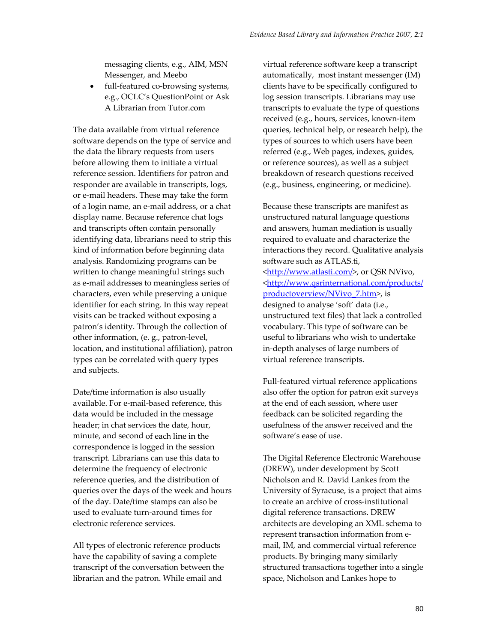messaging clients, e.g., AIM, MSN Messenger, and Meebo

full-featured co-browsing systems, e.g., OCLC's QuestionPoint or Ask A Librarian from Tutor.com

The data available from virtual reference software depends on the type of service and the data the library requests from users before allowing them to initiate a virtual reference session. Identifiers for patron and responder are available in transcripts, logs, or e‐mail headers. These may take the form of a login name, an e‐mail address, or a chat display name. Because reference chat logs and transcripts often contain personally identifying data, librarians need to strip this kind of information before beginning data analysis. Randomizing programs can be written to change meaningful strings such as e‐mail addresses to meaningless series of characters, even while preserving a unique identifier for each string. In this way repeat visits can be tracked without exposing a patron's identity. Through the collection of other information, (e. g., patron‐level, location, and institutional affiliation), patron types can be correlated with query types and subjects.

Date/time information is also usually available. For e‐mail‐based reference, this data would be included in the message header; in chat services the date, hour, minute, and second of each line in the correspondence is logged in the session transcript. Librarians can use this data to determine the frequency of electronic reference queries, and the distribution of queries over the days of the week and hours of the day. Date/time stamps can also be used to evaluate turn‐around times for electronic reference services.

All types of electronic reference products have the capability of saving a complete transcript of the conversation between the librarian and the patron. While email and

virtual reference software keep a transcript automatically, most instant messenger (IM) clients have to be specifically configured to log session transcripts. Librarians may use transcripts to evaluate the type of questions received (e.g., hours, services, known‐item queries, technical help, or research help), the types of sources to which users have been referred (e.g., Web pages, indexes, guides, or reference sources), as well as a subject breakdown of research questions received (e.g., business, engineering, or medicine).

Because these transcripts are manifest as unstructured natural language questions and answers, human mediation is usually required to evaluate and characterize the interactions they record. Qualitative analysis software such as ATLAS.ti, [<http://www.atlasti.com/](http://www.atlasti.com/)>, or QSR NVivo, [<http://www.qsrinternational.com/products/](http://www.qsrinternational.com/products/) productoverview/NVivo 7.htm>, is designed to analyse 'soft' data (i.e., unstructured text files) that lack a controlled vocabulary. This type of software can be useful to librarians who wish to undertake in‐depth analyses of large numbers of virtual reference transcripts.

Full-featured virtual reference applications also offer the option for patron exit surveys at the end of each session, where user feedback can be solicited regarding the usefulness of the answer received and the software's ease of use.

The Digital Reference Electronic Warehouse (DREW), under development by Scott Nicholson and R. David Lankes from the University of Syracuse, is a project that aims to create an archive of cross‐institutional digital reference transactions. DREW architects are developing an XML schema to represent transaction information from e‐ mail, IM, and commercial virtual reference products. By bringing many similarly structured transactions together into a single space, Nicholson and Lankes hope to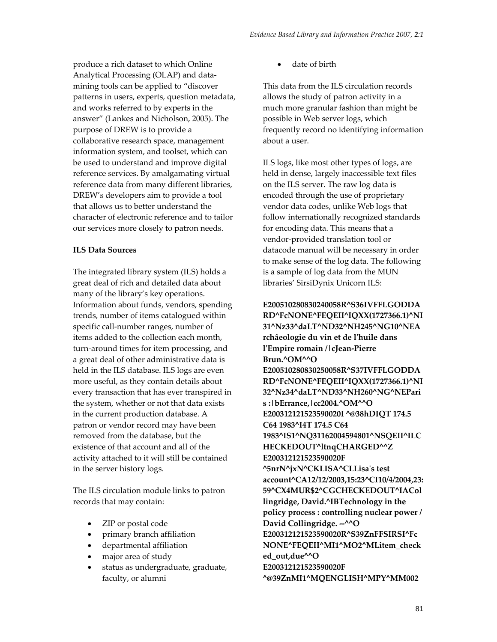produce a rich dataset to which Online Analytical Processing (OLAP) and data‐ mining tools can be applied to "discover patterns in users, experts, question metadata, and works referred to by experts in the answer" (Lankes and Nicholson, 2005). The purpose of DREW is to provide a collaborative research space, management information system, and toolset, which can be used to understand and improve digital reference services. By amalgamating virtual reference data from many different libraries, DREW's developers aim to provide a tool that allows us to better understand the character of electronic reference and to tailor our services more closely to patron needs.

# **ILS Data Sources**

The integrated library system (ILS) holds a great deal of rich and detailed data about many of the library's key operations. Information about funds, vendors, spending trends, number of items catalogued within specific call‐number ranges, number of items added to the collection each month, turn‐around times for item processing, and a great deal of other administrative data is held in the ILS database. ILS logs are even more useful, as they contain details about every transaction that has ever transpired in the system, whether or not that data exists in the current production database. A patron or vendor record may have been removed from the database, but the existence of that account and all of the activity attached to it will still be contained in the server history logs.

The ILS circulation module links to patron records that may contain:

- ZIP or postal code
- primary branch affiliation
- departmental affiliation
- major area of study
- status as undergraduate, graduate, faculty, or alumni

• date of birth

This data from the ILS circulation records allows the study of patron activity in a much more granular fashion than might be possible in Web server logs, which frequently record no identifying information about a user.

ILS logs, like most other types of logs, are held in dense, largely inaccessible text files on the ILS server. The raw log data is encoded through the use of proprietary vendor data codes, unlike Web logs that follow internationally recognized standards for encoding data. This means that a vendor‐provided translation tool or datacode manual will be necessary in order to make sense of the log data. The following is a sample of log data from the MUN libraries' SirsiDynix Unicorn ILS:

**E200510280830240058R^S36IVFFLGODDA RD^FcNONE^FEQEII^IQXX(1727366.1)^NI 31^Nz33^daLT^ND32^NH245^NG10^NEA rchâeologie du vin et de lʹhuile dans lʹEmpire romain /|cJean‐Pierre Brun.^OM^^O E200510280830250058R^S37IVFFLGODDA RD^FcNONE^FEQEII^IQXX(1727366.1)^NI 32^Nz34^daLT^ND33^NH260^NG^NEPari s :|bErrance,|cc2004.^OM^^O E200312121523590020I ^@38hDIQT 174.5 C64 1983^I4T 174.5 C64 1983^IS1^NQ31162004594801^NSQEII^ILC HECKEDOUT^ltnqCHARGED^^Z E200312121523590020F ^5nrN^jxN^CKLISA^CLLisaʹs test account^CA12/12/2003,15:23^CI10/4/2004,23: 59^CX4MUR\$2^CGCHECKEDOUT^IACol lingridge, David.^IBTechnology in the policy process : controlling nuclear power / David Collingridge. ‐‐^^O E200312121523590020R^S39ZnFFSIRSI^Fc NONE^FEQEII^MI1^MO2^MLitem\_check ed\_out,due^^O E200312121523590020F ^@39ZnMI1^MQENGLISH^MPY^MM002**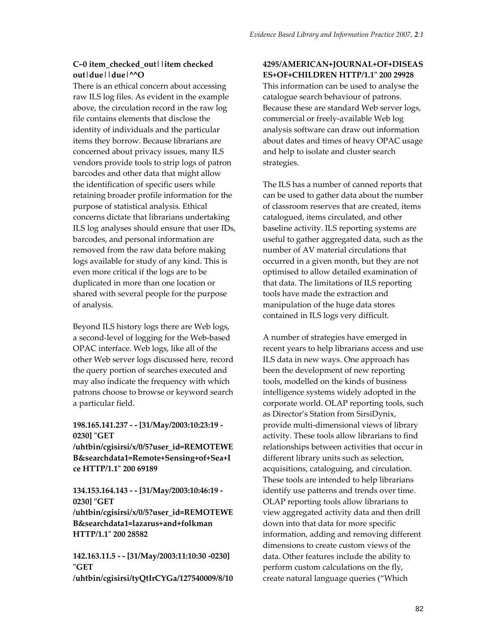### **C~0 item\_checked\_out||item checked out|due||due|^^O**

There is an ethical concern about accessing raw ILS log files. As evident in the example above, the circulation record in the raw log file contains elements that disclose the identity of individuals and the particular items they borrow. Because librarians are concerned about privacy issues, many ILS vendors provide tools to strip logs of patron barcodes and other data that might allow the identification of specific users while retaining broader profile information for the purpose of statistical analysis. Ethical concerns dictate that librarians undertaking ILS log analyses should ensure that user IDs, barcodes, and personal information are removed from the raw data before making logs available for study of any kind. This is even more critical if the logs are to be duplicated in more than one location or shared with several people for the purpose of analysis.

Beyond ILS history logs there are Web logs, a second‐level of logging for the Web‐based OPAC interface. Web logs, like all of the other Web server logs discussed here, record the query portion of searches executed and may also indicate the frequency with which patrons choose to browse or keyword search a particular field.

### **198.165.141.237 ‐ ‐ [31/May/2003:10:23:19 ‐ 0230] ʺGET**

**/uhtbin/cgisirsi/x/0/5?user\_id=REMOTEWE B&searchdata1=Remote+Sensing+of+Sea+I ce HTTP/1.1ʺ 200 69189**

### **134.153.164.143 ‐ ‐ [31/May/2003:10:46:19 ‐ 0230] ʺGET /uhtbin/cgisirsi/x/0/5?user\_id=REMOTEWE B&searchdata1=lazarus+and+folkman HTTP/1.1ʺ 200 28582**

**142.163.11.5 ‐ ‐ [31/May/2003:11:10:30 ‐0230] ʺGET /uhtbin/cgisirsi/tyQtIrCYGa/127540009/8/10**

### **4295/AMERICAN+JOURNAL+OF+DISEAS ES+OF+CHILDREN HTTP/1.1ʺ 200 29928**

This information can be used to analyse the catalogue search behaviour of patrons. Because these are standard Web server logs, commercial or freely‐available Web log analysis software can draw out information about dates and times of heavy OPAC usage and help to isolate and cluster search strategies.

The ILS has a number of canned reports that can be used to gather data about the number of classroom reserves that are created, items catalogued, items circulated, and other baseline activity. ILS reporting systems are useful to gather aggregated data, such as the number of AV material circulations that occurred in a given month, but they are not optimised to allow detailed examination of that data. The limitations of ILS reporting tools have made the extraction and manipulation of the huge data stores contained in ILS logs very difficult.

A number of strategies have emerged in recent years to help librarians access and use ILS data in new ways. One approach has been the development of new reporting tools, modelled on the kinds of business intelligence systems widely adopted in the corporate world. OLAP reporting tools, such as Director's Station from SirsiDynix, provide multi‐dimensional views of library activity. These tools allow librarians to find relationships between activities that occur in different library units such as selection, acquisitions, cataloguing, and circulation. These tools are intended to help librarians identify use patterns and trends over time. OLAP reporting tools allow librarians to view aggregated activity data and then drill down into that data for more specific information, adding and removing different dimensions to create custom views of the data. Other features include the ability to perform custom calculations on the fly, create natural language queries ("Which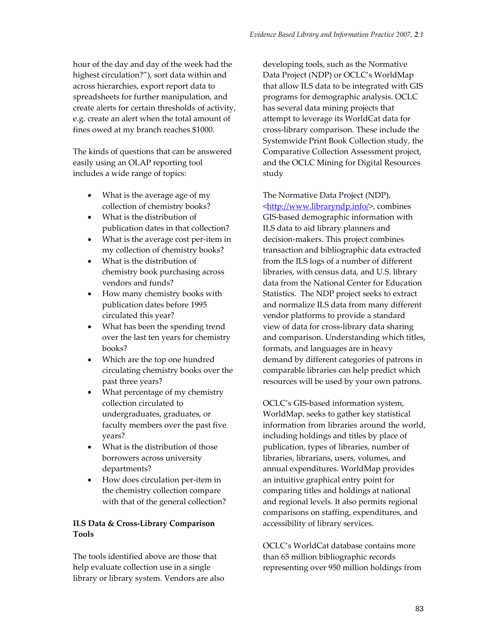hour of the day and day of the week had the highest circulation?"), sort data within and across hierarchies, export report data to spreadsheets for further manipulation, and create alerts for certain thresholds of activity, e.g. create an alert when the total amount of fines owed at my branch reaches \$1000.

The kinds of questions that can be answered easily using an OLAP reporting tool includes a wide range of topics:

- What is the average age of my collection of chemistry books?
- What is the distribution of publication dates in that collection?
- What is the average cost per-item in my collection of chemistry books?
- What is the distribution of chemistry book purchasing across vendors and funds?
- How many chemistry books with publication dates before 1995 circulated this year?
- What has been the spending trend over the last ten years for chemistry books?
- Which are the top one hundred circulating chemistry books over the past three years?
- What percentage of my chemistry collection circulated to undergraduates, graduates, or faculty members over the past five years?
- What is the distribution of those borrowers across university departments?
- How does circulation per-item in the chemistry collection compare with that of the general collection?

# **ILS Data & Cross‐Library Comparison Tools**

The tools identified above are those that help evaluate collection use in a single library or library system. Vendors are also developing tools, such as the Normative Data Project (NDP) or OCLC's WorldMap that allow ILS data to be integrated with GIS programs for demographic analysis. OCLC has several data mining projects that attempt to leverage its WorldCat data for cross‐library comparison. These include the Systemwide Print Book Collection study, the Comparative Collection Assessment project, and the OCLC Mining for Digital Resources study

The Normative Data Project (NDP), [<http://www.libraryndp.info/](http://www.libraryndp.info/)>, combines GIS‐based demographic information with ILS data to aid library planners and decision‐makers. This project combines transaction and bibliographic data extracted from the ILS logs of a number of different libraries, with census data, and U.S. library data from the National Center for Education Statistics. The NDP project seeks to extract and normalize ILS data from many different vendor platforms to provide a standard view of data for cross‐library data sharing and comparison. Understanding which titles, formats, and languages are in heavy demand by different categories of patrons in comparable libraries can help predict which resources will be used by your own patrons.

OCLC's GIS‐based information system, WorldMap, seeks to gather key statistical information from libraries around the world, including holdings and titles by place of publication, types of libraries, number of libraries, librarians, users, volumes, and annual expenditures. WorldMap provides an intuitive graphical entry point for comparing titles and holdings at national and regional levels. It also permits regional comparisons on staffing, expenditures, and accessibility of library services.

OCLC's WorldCat database contains more than 65 million bibliographic records representing over 950 million holdings from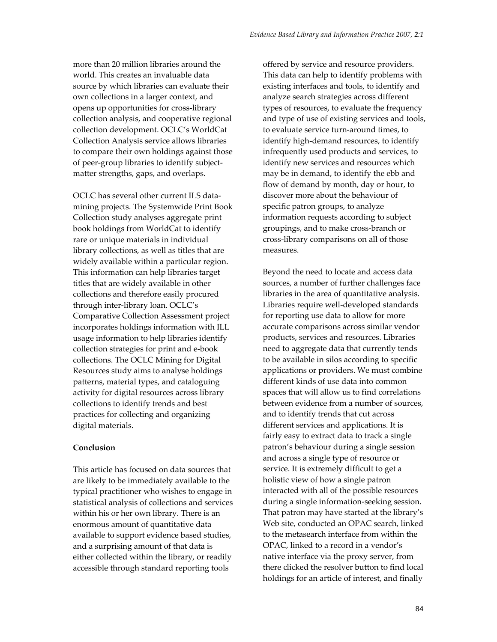more than 20 million libraries around the world. This creates an invaluable data source by which libraries can evaluate their own collections in a larger context, and opens up opportunities for cross‐library collection analysis, and cooperative regional collection development. OCLC's WorldCat Collection Analysis service allows libraries to compare their own holdings against those of peer‐group libraries to identify subject‐ matter strengths, gaps, and overlaps.

OCLC has several other current ILS data‐ mining projects. The Systemwide Print Book Collection study analyses aggregate print book holdings from WorldCat to identify rare or unique materials in individual library collections, as well as titles that are widely available within a particular region. This information can help libraries target titles that are widely available in other collections and therefore easily procured through inter‐library loan. OCLC's Comparative Collection Assessment project incorporates holdings information with ILL usage information to help libraries identify collection strategies for print and e‐book collections. The OCLC Mining for Digital Resources study aims to analyse holdings patterns, material types, and cataloguing activity for digital resources across library collections to identify trends and best practices for collecting and organizing digital materials.

### **Conclusion**

This article has focused on data sources that are likely to be immediately available to the typical practitioner who wishes to engage in statistical analysis of collections and services within his or her own library. There is an enormous amount of quantitative data available to support evidence based studies, and a surprising amount of that data is either collected within the library, or readily accessible through standard reporting tools

offered by service and resource providers. This data can help to identify problems with existing interfaces and tools, to identify and analyze search strategies across different types of resources, to evaluate the frequency and type of use of existing services and tools, to evaluate service turn‐around times, to identify high‐demand resources, to identify infrequently used products and services, to identify new services and resources which may be in demand, to identify the ebb and flow of demand by month, day or hour, to discover more about the behaviour of specific patron groups, to analyze information requests according to subject groupings, and to make cross‐branch or cross‐library comparisons on all of those measures.

Beyond the need to locate and access data sources, a number of further challenges face libraries in the area of quantitative analysis. Libraries require well‐developed standards for reporting use data to allow for more accurate comparisons across similar vendor products, services and resources. Libraries need to aggregate data that currently tends to be available in silos according to specific applications or providers. We must combine different kinds of use data into common spaces that will allow us to find correlations between evidence from a number of sources, and to identify trends that cut across different services and applications. It is fairly easy to extract data to track a single patron's behaviour during a single session and across a single type of resource or service. It is extremely difficult to get a holistic view of how a single patron interacted with all of the possible resources during a single information‐seeking session. That patron may have started at the library's Web site, conducted an OPAC search, linked to the metasearch interface from within the OPAC, linked to a record in a vendor's native interface via the proxy server, from there clicked the resolver button to find local holdings for an article of interest, and finally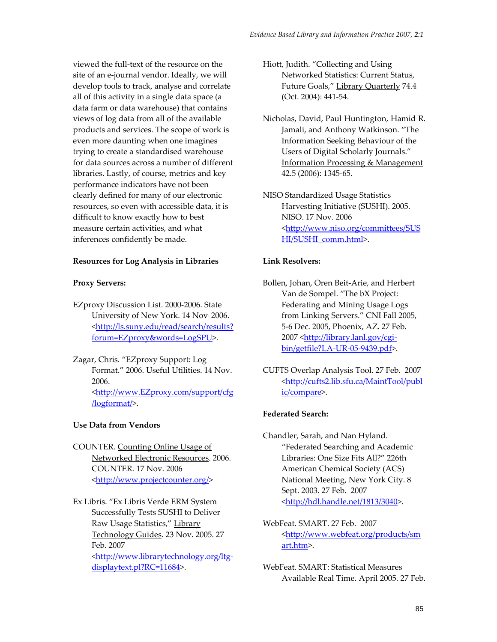viewed the full‐text of the resource on the site of an e‐journal vendor. Ideally, we will develop tools to track, analyse and correlate all of this activity in a single data space (a data farm or data warehouse) that contains views of log data from all of the available products and services. The scope of work is even more daunting when one imagines trying to create a standardised warehouse for data sources across a number of different libraries. Lastly, of course, metrics and key performance indicators have not been clearly defined for many of our electronic resources, so even with accessible data, it is difficult to know exactly how to best measure certain activities, and what inferences confidently be made.

#### **Resources for Log Analysis in Libraries**

#### **Proxy Servers:**

- EZproxy Discussion List. 2000‐2006. State University of New York. 14 Nov. 2006. [<http://ls.suny.edu/read/search/results?](http://ls.suny.edu/read/search/results?) forum=EZproxy&words=LogSPU>.
- Zagar, Chris. "EZproxy Support: Log Format." 2006. Useful Utilities. 14 Nov. 2006. [<http://www.EZproxy.com/support/cfg](http://www.EZproxy.com/support/cfg) /logformat/>.

#### **Use Data from Vendors**

- COUNTER. Counting Online Usage of Networked Electronic Resources. 2006. COUNTER. 17 Nov. 2006 [<http://www.projectcounter.org/>](http://www.projectcounter.org/)
- Ex Libris. "Ex Libris Verde ERM System Successfully Tests SUSHI to Deliver Raw Usage Statistics," Library Technology Guides. 23 Nov. 2005. 27 Feb. 2007 [<http://www.librarytechnology.org/ltg](http://www.librarytechnology.org/ltg%E2%80%90displaytext%00)‐ displaytext.pl?RC=11684>.
- Hiott, Judith. "Collecting and Using Networked Statistics: Current Status, Future Goals," Library Quarterly 74.4 (Oct. 2004): 441‐54.
- Nicholas, David, Paul Huntington, Hamid R. Jamali, and Anthony Watkinson. "The Information Seeking Behaviour of the Users of Digital Scholarly Journals." Information Processing & Management 42.5 (2006): 1345‐65.
- NISO Standardized Usage Statistics Harvesting Initiative (SUSHI). 2005. NISO. 17 Nov. 2006 [<http://www.niso.org/committees/SUS](http://www.niso.org/committees/SUS) HI/SUSHI\_comm.html>.

#### **Link Resolvers:**

- Bollen, Johan, Oren Beit‐Arie, and Herbert Van de Sompel. "The bX Project: Federating and Mining Usage Logs from Linking Servers." CNI Fall 2005, 5‐6 Dec. 2005, Phoenix, AZ. 27 Feb. 2007 [<http://library.lanl.gov/cgi](http://library.lanl.gov/cgi%E2%80%90bin/)‐ bin/getfile?LA‐UR‐05‐9439.pdf>.
- CUFTS Overlap Analysis Tool. 27 Feb. 2007 [<http://cufts2.lib.sfu.ca/MaintTool/publ](http://cufts2.lib.sfu.ca/MaintTool/publ) ic/compare>.

### **Federated Search:**

- Chandler, Sarah, and Nan Hyland. "Federated Searching and Academic Libraries: One Size Fits All?" 226th American Chemical Society (ACS) National Meeting, New York City. 8 Sept. 2003. 27 Feb. 2007 [<http://hdl.handle.net/1813/3040](http://hdl.handle.net/1813/3040)>.
- WebFeat. SMART. 27 Feb. 2007 [<http://www.webfeat.org/products/sm](http://www.webfeat.org/products/sm) art.htm>.
- WebFeat. SMART: Statistical Measures Available Real Time. April 2005. 27 Feb.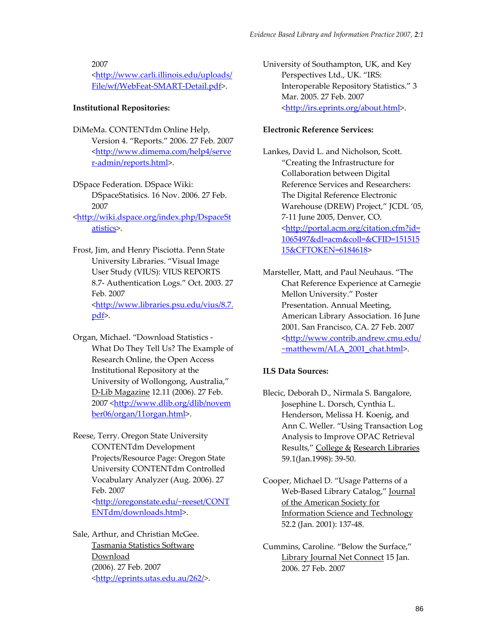#### 2007

[<http://www.carli.illinois.edu/uploads/](http://www.carli.illinois.edu/uploads/) File/wf/WebFeat‐SMART‐Detail.pdf>.

#### **Institutional Repositories:**

DiMeMa. CONTENTdm Online Help, Version 4. "Reports." 2006. 27 Feb. 2007 [<http://www.dimema.com/help4/serve](http://www.dimema.com/help4/serve) r‐admin/reports.html>.

DSpace Federation. DSpace Wiki: DSpaceStatisics. 16 Nov. 2006. 27 Feb. 2007

[<http://wiki.dspace.org/index.php/DspaceSt](http://wiki.dspace.org/index.php/DspaceSt) atistics>.

Frost, Jim, and Henry Pisciotta. Penn State University Libraries. "Visual Image User Study (VIUS): VIUS REPORTS 8.7‐ Authentication Logs." Oct. 2003. 27 Feb. 2007 [<http://www.libraries.psu.edu/vius/8.7.](http://www.libraries.psu.edu/vius/8.7) pdf>.

Organ, Michael. "Download Statistics ‐ What Do They Tell Us? The Example of Research Online, the Open Access Institutional Repository at the University of Wollongong, Australia," D‐Lib Magazine 12.11 (2006). 27 Feb. 2007 <<http://www.dlib.org/dlib/novem> ber06/organ/11organ.html>.

Reese, Terry. Oregon State University CONTENTdm Development Projects/Resource Page: Oregon State University CONTENTdm Controlled Vocabulary Analyzer (Aug. 2006). 27 Feb. 2007 [<http://oregonstate.edu/~reeset/CONT](http://oregonstate.edu/~reeset/CONT) ENTdm/downloads.html>.

Sale, Arthur, and Christian McGee. Tasmania Statistics Software Download (2006). 27 Feb. 2007 *<*<http://eprints.utas.edu.au/262/>*>*. University of Southampton, UK, and Key Perspectives Ltd., UK. "IRS: Interoperable Repository Statistics." 3 Mar. 2005. 27 Feb. 2007 [<http://irs.eprints.org/about.html](http://irs.eprints.org/about.html)>.

#### **Electronic Reference Services:**

Lankes, David L. and Nicholson, Scott. "Creating the Infrastructure for Collaboration between Digital Reference Services and Researchers: The Digital Reference Electronic Warehouse (DREW) Project," JCDL '05, 7‐11 June 2005, Denver, CO. [<http://portal.acm.org/citation.cfm?id=](http://portal.acm.org/citation.cfm?id=) 1065497&dl=acm&coll=&CFID=151515 15&CFTOKEN=6184618>

Marsteller, Matt, and Paul Neuhaus. "The Chat Reference Experience at Carnegie Mellon University." Poster Presentation. Annual Meeting, American Library Association. 16 June 2001. San Francisco, CA. 27 Feb. 2007 [<http://www.contrib.andrew.cmu.edu/](http://www.contrib.andrew.cmu.edu/) ~matthewm/ALA\_2001\_chat.html>.

#### **ILS Data Sources:**

- Blecic, Deborah D., Nirmala S. Bangalore, Josephine L. Dorsch, Cynthia L. Henderson, Melissa H. Koenig, and Ann C. Weller. "Using Transaction Log Analysis to Improve OPAC Retrieval Results," College & Research Libraries 59.1(Jan.1998): 39‐50.
- Cooper, Michael D. "Usage Patterns of a Web-Based Library Catalog," Journal of the American Society for Information Science and Technology 52.2 (Jan. 2001): 137‐48.
- Cummins, Caroline. "Below the Surface," Library Journal Net Connect 15 Jan. 2006. 27 Feb. 2007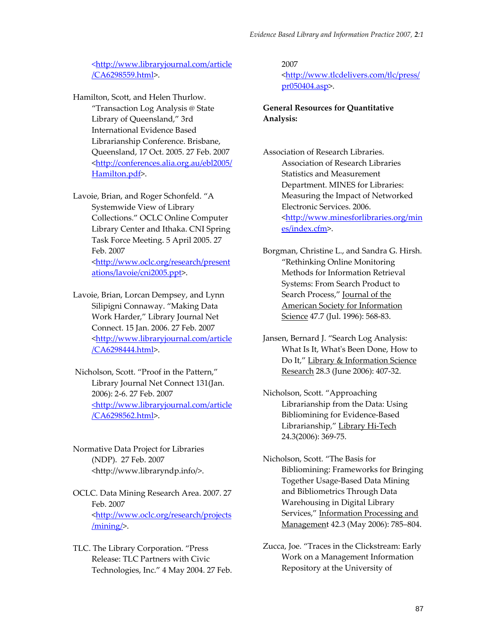[<http://www.libraryjournal.com/article](http://www.libraryjournal.com/article) /CA6298559.html>.

- Hamilton, Scott, and Helen Thurlow. "Transaction Log Analysis @ State Library of Queensland," 3rd International Evidence Based Librarianship Conference. Brisbane, Queensland, 17 Oct. 2005. 27 Feb. 2007 [<http://conferences.alia.org.au/ebl2005/](http://conferences.alia.org.au/ebl2005/) Hamilton.pdf>.
- Lavoie, Brian, and Roger Schonfeld. "A Systemwide View of Library Collections." OCLC Online Computer Library Center and Ithaka. CNI Spring Task Force Meeting. 5 April 2005. 27 Feb. 2007 [<http://www.oclc.org/research/present](http://www.oclc.org/research/present) ations/lavoie/cni2005.ppt>.
- Lavoie, Brian, Lorcan Dempsey, and Lynn Silipigni Connaway. "Making Data Work Harder," Library Journal Net Connect. 15 Jan. 2006. 27 Feb. 2007 [<http://www.libraryjournal.com/article](http://www.libraryjournal.com/article) /CA6298444.html>.
- Nicholson, Scott. "Proof in the Pattern," Library Journal Net Connect 131(Jan. 2006): 2‐6. 27 Feb. 2007 [<http://www.libraryjournal.com/article](http://www.libraryjournal.com/article) /CA6298562.html>.
- Normative Data Project for Libraries (NDP). 27 Feb. 2007 [<http://www.libraryndp.info/](http://www.libraryndp.info/)>.
- OCLC. Data Mining Research Area. 2007. 27 Feb. 2007 [<http://www.oclc.org/research/projects](http://www.oclc.org/research/projects) /mining/>.
- TLC. The Library Corporation. "Press Release: TLC Partners with Civic Technologies, Inc." 4 May 2004. 27 Feb.

#### 2007

[<http://www.tlcdelivers.com/tlc/press/](http://www.tlcdelivers.com/tlc/press/) pr050404.asp>.

**General Resources for Quantitative Analysis:**

Association of Research Libraries. Association of Research Libraries Statistics and Measurement Department. MINES for Libraries: Measuring the Impact of Networked Electronic Services. 2006. [<http://www.minesforlibraries.org/min](http://www.minesforlibraries.org/min) es/index.cfm>.

Borgman, Christine L., and Sandra G. Hirsh. "Rethinking Online Monitoring Methods for Information Retrieval Systems: From Search Product to Search Process," Journal of the American Society for Information Science 47.7 (Jul. 1996): 568‐83.

- Jansen, Bernard J. "Search Log Analysis: What Is It, Whatʹs Been Done, How to Do It," Library & Information Science Research 28.3 (June 2006): 407‐32.
- Nicholson, Scott. "Approaching Librarianship from the Data: Using Bibliomining for Evidence‐Based Librarianship," Library Hi-Tech 24.3(2006): 369‐75.
- Nicholson, Scott. "The Basis for Bibliomining: Frameworks for Bringing Together Usage‐Based Data Mining and Bibliometrics Through Data Warehousing in Digital Library Services," Information Processing and Management 42.3 (May 2006): 785–804.
- Zucca, Joe. "Traces in the Clickstream: Early Work on a Management Information Repository at the University of